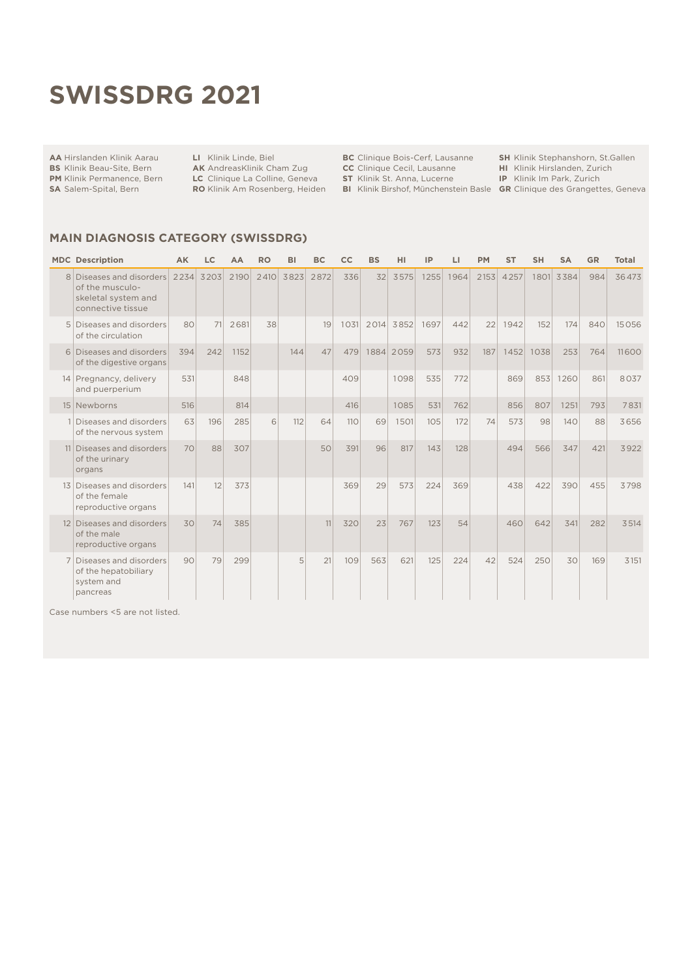# **swissdrg 2021**

#### **AA** Hirslanden Klinik Aarau

**LI** Klinik Linde, Biel

**BS** Klinik Beau-Site, Bern **PM** Klinik Permanence, Bern

**SA** Salem-Spital, Bern

**AK** AndreasKlinik Cham Zug **LC** Clinique La Colline, Geneva **RO** Klinik Am Rosenberg, Heiden **BC** Clinique Bois-Cerf, Lausanne

**CC** Clinique Cecil, Lausanne

**SH** Klinik Stephanshorn, St.Gallen

**HI** Klinik Hirslanden, Zurich

**ST** Klinik St. Anna, Lucerne **BI** Klinik Birshof, Münchenstein Basle

**IP** Klinik Im Park, Zurich **GR** Clinique des Grangettes, Geneva

#### **MAIN DIAGNOSIS CATEGORY (SwissDRG)**

|                 | <b>MDC</b> Description                                                                | AK   | LC   | AA   | <b>RO</b> | BI   | <b>BC</b> | cc   | <b>BS</b> | HI        | IP   | LI   | <b>PM</b> | <b>ST</b> | <b>SH</b> | <b>SA</b> | <b>GR</b> | <b>Total</b> |
|-----------------|---------------------------------------------------------------------------------------|------|------|------|-----------|------|-----------|------|-----------|-----------|------|------|-----------|-----------|-----------|-----------|-----------|--------------|
| 8               | Diseases and disorders<br>of the musculo-<br>skeletal system and<br>connective tissue | 2234 | 3203 | 2190 | 2410      | 3823 | 2872      | 336  | 32        | 3575      | 1255 | 1964 | 2153      | 4257      | 1801      | 3384      | 984       | 36473        |
|                 | 5 Diseases and disorders<br>of the circulation                                        | 80   | 71   | 2681 | 38        |      | 19        | 1031 | 2014      | 3852      | 1697 | 442  | 22        | 1942      | 152       | 174       | 840       | 15056        |
| 6               | Diseases and disorders<br>of the digestive organs                                     | 394  | 242  | 1152 |           | 144  | 47        | 479  |           | 1884 2059 | 573  | 932  | 187       | 1452      | 1038      | 253       | 764       | 11600        |
|                 | 14 Pregnancy, delivery<br>and puerperium                                              | 531  |      | 848  |           |      |           | 409  |           | 1098      | 535  | 772  |           | 869       | 853       | 1260      | 861       | 8037         |
|                 | 15 Newborns                                                                           | 516  |      | 814  |           |      |           | 416  |           | 1085      | 531  | 762  |           | 856       | 807       | 1251      | 793       | 7831         |
|                 | Diseases and disorders<br>of the nervous system                                       | 63   | 196  | 285  | 6         | 112  | 64        | 110  | 69        | 1501      | 105  | 172  | 74        | 573       | 98        | 140       | 88        | 3656         |
|                 | 11 Diseases and disorders<br>of the urinary<br>organs                                 | 70   | 88   | 307  |           |      | 50        | 391  | 96        | 817       | 143  | 128  |           | 494       | 566       | 347       | 421       | 3922         |
|                 | 13 Diseases and disorders<br>of the female<br>reproductive organs                     | 141  | 12   | 373  |           |      |           | 369  | 29        | 573       | 224  | 369  |           | 438       | 422       | 390       | 455       | 3798         |
| 12 <sup>1</sup> | Diseases and disorders<br>of the male<br>reproductive organs                          | 30   | 74   | 385  |           |      | 11        | 320  | 23        | 767       | 123  | 54   |           | 460       | 642       | 341       | 282       | 3514         |
|                 | Diseases and disorders<br>of the hepatobiliary<br>system and<br>pancreas              | 90   | 79   | 299  |           | 5    | 21        | 109  | 563       | 621       | 125  | 224  | 42        | 524       | 250       | 30        | 169       | 3151         |

Case numbers <5 are not listed.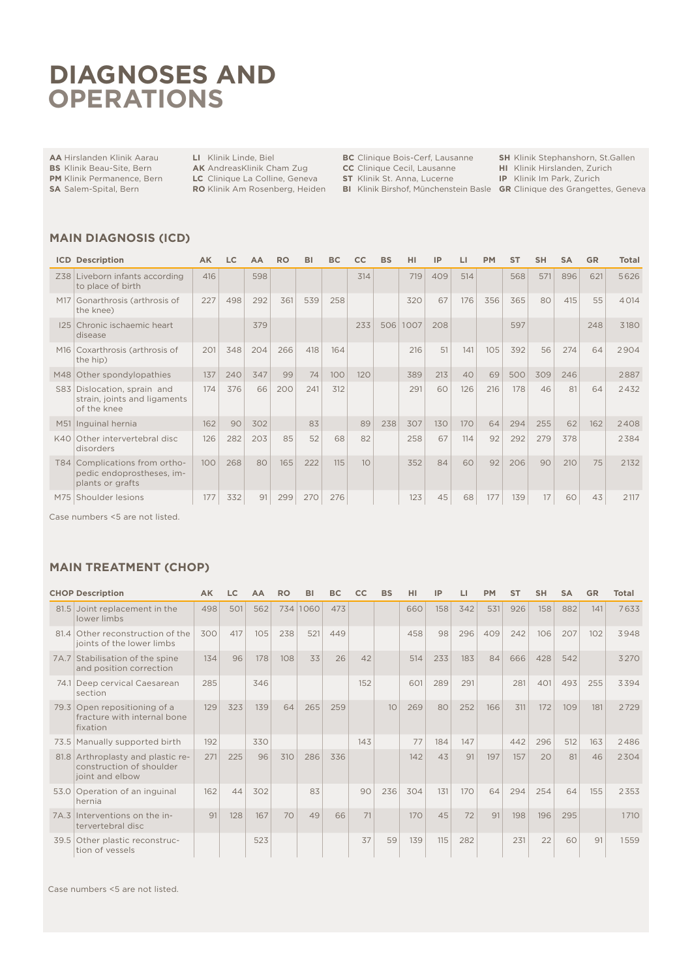## **DIAGNOSES AND OPERATIONS**

**AA** Hirslanden Klinik Aarau **BS** Klinik Beau-Site, Bern

**LI** Klinik Linde, Biel

**AK** AndreasKlinik Cham Zug

**PM** Klinik Permanence, Bern **SA** Salem-Spital, Bern

**LC** Clinique La Colline, Geneva **RO** Klinik Am Rosenberg, Heiden **BC** Clinique Bois-Cerf, Lausanne

**ST** Klinik St. Anna, Lucerne

**CC** Clinique Cecil, Lausanne

**SH** Klinik Stephanshorn, St.Gallen

**HI** Klinik Hirslanden, Zurich **IP** Klinik Im Park, Zurich

**BI** Klinik Birshof, Münchenstein Basle

**GR** Clinique des Grangettes, Geneva

#### **MAIN DIAGNOSIS (ICD)**

|                 | <b>ICD Description</b>                                                     | AK  | LC  | AА  | RO  | вı  | BC  |     | <b>BS</b> | HI   | ΙP  |     | PМ  | <b>ST</b> | <b>SH</b> | SΑ  | <b>GR</b> | Total |
|-----------------|----------------------------------------------------------------------------|-----|-----|-----|-----|-----|-----|-----|-----------|------|-----|-----|-----|-----------|-----------|-----|-----------|-------|
| Z38             | Liveborn infants according<br>to place of birth                            | 416 |     | 598 |     |     |     | 314 |           | 719  | 409 | 514 |     | 568       | 571       | 896 | 621       | 5626  |
| M17             | Gonarthrosis (arthrosis of<br>the knee)                                    | 227 | 498 | 292 | 361 | 539 | 258 |     |           | 320  | 67  | 176 | 356 | 365       | 80        | 415 | 55        | 4014  |
| 125             | Chronic ischaemic heart<br>disease                                         |     |     | 379 |     |     |     | 233 | 506       | 1007 | 208 |     |     | 597       |           |     | 248       | 3180  |
| M <sub>16</sub> | Coxarthrosis (arthrosis of<br>the hip)                                     | 201 | 348 | 204 | 266 | 418 | 164 |     |           | 216  | 51  | 141 | 105 | 392       | 56        | 274 | 64        | 2904  |
| M48             | Other spondylopathies                                                      | 137 | 240 | 347 | 99  | 74  | 100 | 120 |           | 389  | 213 | 40  | 69  | 500       | 309       | 246 |           | 2887  |
| S83             | Dislocation, sprain and<br>strain, joints and ligaments<br>of the knee     | 174 | 376 | 66  | 200 | 241 | 312 |     |           | 291  | 60  | 126 | 216 | 178       | 46        | 81  | 64        | 2432  |
| M51             | Inguinal hernia                                                            | 162 | 90  | 302 |     | 83  |     | 89  | 238       | 307  | 130 | 170 | 64  | 294       | 255       | 62  | 162       | 2408  |
| K40             | Other intervertebral disc<br>disorders                                     | 126 | 282 | 203 | 85  | 52  | 68  | 82  |           | 258  | 67  | 114 | 92  | 292       | 279       | 378 |           | 2384  |
| <b>T84</b>      | Complications from ortho-<br>pedic endoprostheses, im-<br>plants or grafts | 100 | 268 | 80  | 165 | 222 | 115 | 10  |           | 352  | 84  | 60  | 92  | 206       | 90        | 210 | 75        | 2132  |
| M75             | Shoulder lesions                                                           | 177 | 332 | 91  | 299 | 270 | 276 |     |           | 123  | 45  | 68  | 177 | 139       | 17        | 60  | 43        | 2117  |

Case numbers <5 are not listed.

### **MAIN TREATMENT (CHOP)**

|      | <b>CHOP Description</b>                                                          | <b>AK</b> | LC  | AA  | <b>RO</b> | BI       | <b>BC</b> | cc  | <b>BS</b> | HI  | IP  | ы   | <b>PM</b> | <b>ST</b> | <b>SH</b> | <b>SA</b> | <b>GR</b> | Total |
|------|----------------------------------------------------------------------------------|-----------|-----|-----|-----------|----------|-----------|-----|-----------|-----|-----|-----|-----------|-----------|-----------|-----------|-----------|-------|
|      | 81.5 Joint replacement in the<br>lower limbs                                     | 498       | 501 | 562 |           | 734 1060 | 473       |     |           | 660 | 158 | 342 | 531       | 926       | 158       | 882       | 141       | 7633  |
| 81.4 | Other reconstruction of the<br>joints of the lower limbs                         | 300       | 417 | 105 | 238       | 521      | 449       |     |           | 458 | 98  | 296 | 409       | 242       | 106       | 207       | 102       | 3948  |
|      | 7A.7 Stabilisation of the spine<br>and position correction                       | 134       | 96  | 178 | 108       | 33       | 26        | 42  |           | 514 | 233 | 183 | 84        | 666       | 428       | 542       |           | 3270  |
| 74.1 | Deep cervical Caesarean<br>section                                               | 285       |     | 346 |           |          |           | 152 |           | 601 | 289 | 291 |           | 281       | 401       | 493       | 255       | 3394  |
|      | 79.3 Open repositioning of a<br>fracture with internal bone<br>fixation          | 129       | 323 | 139 | 64        | 265      | 259       |     | 10        | 269 | 80  | 252 | 166       | 311       | 172       | 109       | 181       | 2729  |
|      | 73.5 Manually supported birth                                                    | 192       |     | 330 |           |          |           | 143 |           | 77  | 184 | 147 |           | 442       | 296       | 512       | 163       | 2486  |
|      | 81.8 Arthroplasty and plastic re-<br>construction of shoulder<br>joint and elbow | 271       | 225 | 96  | 310       | 286      | 336       |     |           | 142 | 43  | 91  | 197       | 157       | 20        | 81        | 46        | 2304  |
| 53.0 | Operation of an inguinal<br>hernia                                               | 162       | 44  | 302 |           | 83       |           | 90  | 236       | 304 | 131 | 170 | 64        | 294       | 254       | 64        | 155       | 2353  |
| 7A.3 | Interventions on the in-<br>tervertebral disc                                    | 91        | 128 | 167 | 70        | 49       | 66        | 71  |           | 170 | 45  | 72  | 91        | 198       | 196       | 295       |           | 1710  |
| 39.5 | Other plastic reconstruc-<br>tion of vessels                                     |           |     | 523 |           |          |           | 37  | 59        | 139 | 115 | 282 |           | 231       | 22        | 60        | 91        | 1559  |

Case numbers <5 are not listed.